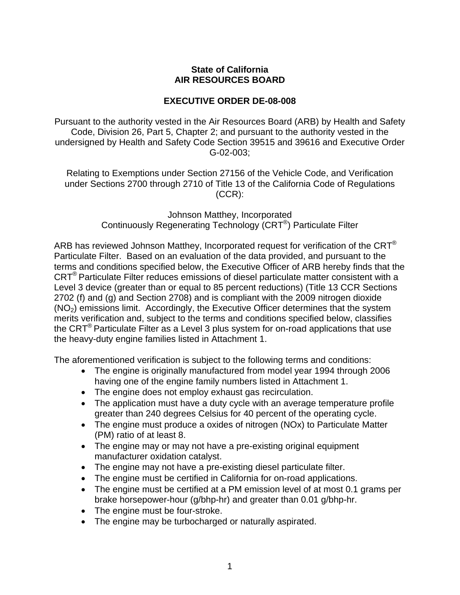## **State of California AIR RESOURCES BOARD**

## **EXECUTIVE ORDER DE-08-008**

Pursuant to the authority vested in the Air Resources Board (ARB) by Health and Safety Code, Division 26, Part 5, Chapter 2; and pursuant to the authority vested in the undersigned by Health and Safety Code Section 39515 and 39616 and Executive Order G-02-003;

Relating to Exemptions under Section 27156 of the Vehicle Code, and Verification under Sections 2700 through 2710 of Title 13 of the California Code of Regulations (CCR):

> Johnson Matthey, Incorporated Continuously Regenerating Technology (CRT®) Particulate Filter

ARB has reviewed Johnson Matthey, Incorporated request for verification of the  $CRT^{\otimes}$ Particulate Filter. Based on an evaluation of the data provided, and pursuant to the terms and conditions specified below, the Executive Officer of ARB hereby finds that the CRT® Particulate Filter reduces emissions of diesel particulate matter consistent with a Level 3 device (greater than or equal to 85 percent reductions) (Title 13 CCR Sections 2702 (f) and (g) and Section 2708) and is compliant with the 2009 nitrogen dioxide  $(NO<sub>2</sub>)$  emissions limit. Accordingly, the Executive Officer determines that the system merits verification and, subject to the terms and conditions specified below, classifies the  $CRT^{\circledast}$  Particulate Filter as a Level 3 plus system for on-road applications that use the heavy-duty engine families listed in Attachment 1.

The aforementioned verification is subject to the following terms and conditions:

- The engine is originally manufactured from model year 1994 through 2006 having one of the engine family numbers listed in Attachment 1.
- The engine does not employ exhaust gas recirculation.
- The application must have a duty cycle with an average temperature profile greater than 240 degrees Celsius for 40 percent of the operating cycle.
- The engine must produce a oxides of nitrogen (NOx) to Particulate Matter (PM) ratio of at least 8.
- The engine may or may not have a pre-existing original equipment manufacturer oxidation catalyst.
- The engine may not have a pre-existing diesel particulate filter.
- The engine must be certified in California for on-road applications.
- The engine must be certified at a PM emission level of at most 0.1 grams per brake horsepower-hour (g/bhp-hr) and greater than 0.01 g/bhp-hr.
- The engine must be four-stroke.
- The engine may be turbocharged or naturally aspirated.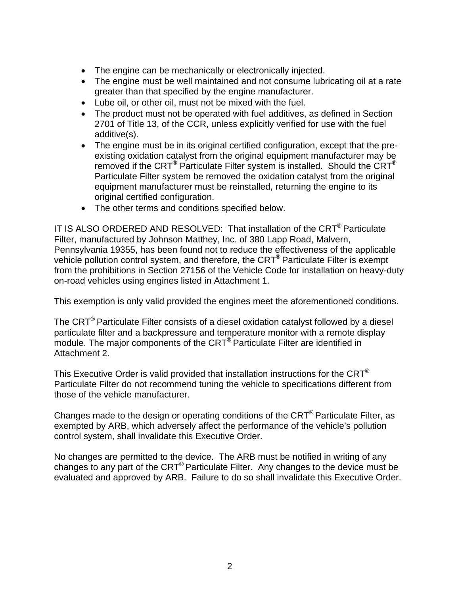- The engine can be mechanically or electronically injected.
- The engine must be well maintained and not consume lubricating oil at a rate greater than that specified by the engine manufacturer.
- Lube oil, or other oil, must not be mixed with the fuel.
- The product must not be operated with fuel additives, as defined in Section 2701 of Title 13, of the CCR, unless explicitly verified for use with the fuel additive(s).
- The engine must be in its original certified configuration, except that the preexisting oxidation catalyst from the original equipment manufacturer may be removed if the CRT<sup>®</sup> Particulate Filter system is installed. Should the CRT<sup>®</sup> Particulate Filter system be removed the oxidation catalyst from the original equipment manufacturer must be reinstalled, returning the engine to its original certified configuration.
- The other terms and conditions specified below.

IT IS ALSO ORDERED AND RESOLVED: That installation of the CRT® Particulate Filter, manufactured by Johnson Matthey, Inc. of 380 Lapp Road, Malvern, Pennsylvania 19355, has been found not to reduce the effectiveness of the applicable vehicle pollution control system, and therefore, the CRT® Particulate Filter is exempt from the prohibitions in Section 27156 of the Vehicle Code for installation on heavy-duty on-road vehicles using engines listed in Attachment 1.

This exemption is only valid provided the engines meet the aforementioned conditions.

The CRT<sup>®</sup> Particulate Filter consists of a diesel oxidation catalyst followed by a diesel particulate filter and a backpressure and temperature monitor with a remote display module. The major components of the CRT<sup>®</sup> Particulate Filter are identified in Attachment 2.

This Executive Order is valid provided that installation instructions for the  $CRT^{\otimes}$ Particulate Filter do not recommend tuning the vehicle to specifications different from those of the vehicle manufacturer.

Changes made to the design or operating conditions of the CRT® Particulate Filter, as exempted by ARB, which adversely affect the performance of the vehicle's pollution control system, shall invalidate this Executive Order.

No changes are permitted to the device. The ARB must be notified in writing of any changes to any part of the CRT® Particulate Filter. Any changes to the device must be evaluated and approved by ARB. Failure to do so shall invalidate this Executive Order.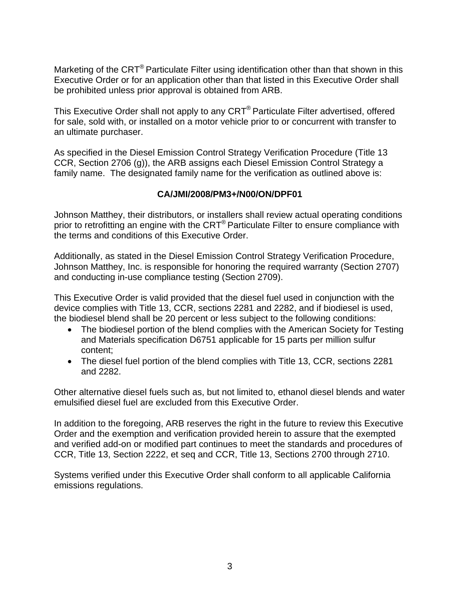Marketing of the CRT<sup>®</sup> Particulate Filter using identification other than that shown in this Executive Order or for an application other than that listed in this Executive Order shall be prohibited unless prior approval is obtained from ARB.

This Executive Order shall not apply to any CRT® Particulate Filter advertised, offered for sale, sold with, or installed on a motor vehicle prior to or concurrent with transfer to an ultimate purchaser.

As specified in the Diesel Emission Control Strategy Verification Procedure (Title 13 CCR, Section 2706 (g)), the ARB assigns each Diesel Emission Control Strategy a family name. The designated family name for the verification as outlined above is:

## **CA/JMI/2008/PM3+/N00/ON/DPF01**

Johnson Matthey, their distributors, or installers shall review actual operating conditions prior to retrofitting an engine with the CRT<sup>®</sup> Particulate Filter to ensure compliance with the terms and conditions of this Executive Order.

Additionally, as stated in the Diesel Emission Control Strategy Verification Procedure, Johnson Matthey, Inc. is responsible for honoring the required warranty (Section 2707) and conducting in-use compliance testing (Section 2709).

This Executive Order is valid provided that the diesel fuel used in conjunction with the device complies with Title 13, CCR, sections 2281 and 2282, and if biodiesel is used, the biodiesel blend shall be 20 percent or less subject to the following conditions:

- The biodiesel portion of the blend complies with the American Society for Testing and Materials specification D6751 applicable for 15 parts per million sulfur content;
- The diesel fuel portion of the blend complies with Title 13, CCR, sections 2281 and 2282.

Other alternative diesel fuels such as, but not limited to, ethanol diesel blends and water emulsified diesel fuel are excluded from this Executive Order.

In addition to the foregoing, ARB reserves the right in the future to review this Executive Order and the exemption and verification provided herein to assure that the exempted and verified add-on or modified part continues to meet the standards and procedures of CCR, Title 13, Section 2222, et seq and CCR, Title 13, Sections 2700 through 2710.

Systems verified under this Executive Order shall conform to all applicable California emissions regulations.